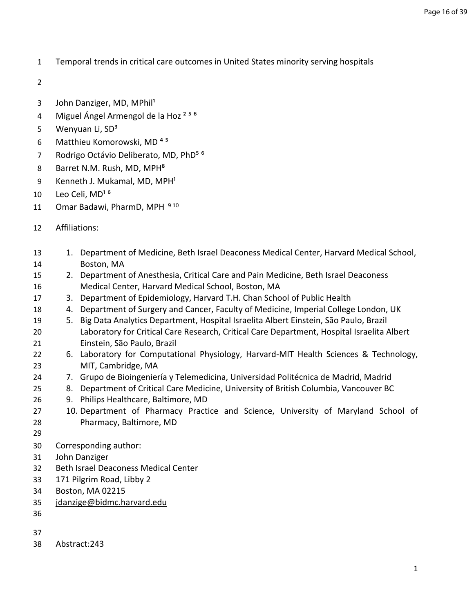- Temporal trends in critical care outcomes in United States minority serving hospitals
- 
- 3 John Danziger, MD, MPhil<sup>1</sup>
- 4 Miguel Ángel Armengol de la Hoz<sup>256</sup>
- 5 Wenyuan Li, SD<sup>3</sup>
- 6 Matthieu Komorowski, MD<sup>45</sup>
- 7 Rodrigo Octávio Deliberato, MD, PhD<sup>56</sup>
- 8 Barret N.M. Rush, MD, MPH<sup>8</sup>
- 9 Kenneth J. Mukamal, MD, MPH<sup>1</sup>
- 10 Leo Celi, MD<sup>16</sup>
- 11 Omar Badawi, PharmD, MPH 910
- Affiliations:
- 13 1. Department of Medicine, Beth Israel Deaconess Medical Center, Harvard Medical School, Boston, MA
- 2. Department of Anesthesia, Critical Care and Pain Medicine, Beth Israel Deaconess Medical Center, Harvard Medical School, Boston, MA
- 3. Department of Epidemiology, Harvard T.H. Chan School of Public Health
- 4. Department of Surgery and Cancer, Faculty of Medicine, Imperial College London, UK
- 5. Big Data Analytics Department, Hospital Israelita Albert Einstein, São Paulo, Brazil Laboratory for Critical Care Research, Critical Care Department, Hospital Israelita Albert Einstein, São Paulo, Brazil
- 6. Laboratory for Computational Physiology, Harvard-MIT Health Sciences & Technology, MIT, Cambridge, MA
- 7. Grupo de Bioingeniería y Telemedicina, Universidad Politécnica de Madrid, Madrid
- 8. Department of Critical Care Medicine, University of British Columbia, Vancouver BC
- 9. Philips Healthcare, Baltimore, MD
- 10. Department of Pharmacy Practice and Science, University of Maryland School of Pharmacy, Baltimore, MD
- 
- Corresponding author:
- John Danziger
- Beth Israel Deaconess Medical Center
- 171 Pilgrim Road, Libby 2
- Boston, MA 02215
- [jdanzige@bidmc.harvard.edu](mailto:jdanzige@bidmc.harvard.edu)
- 
- 
- Abstract:243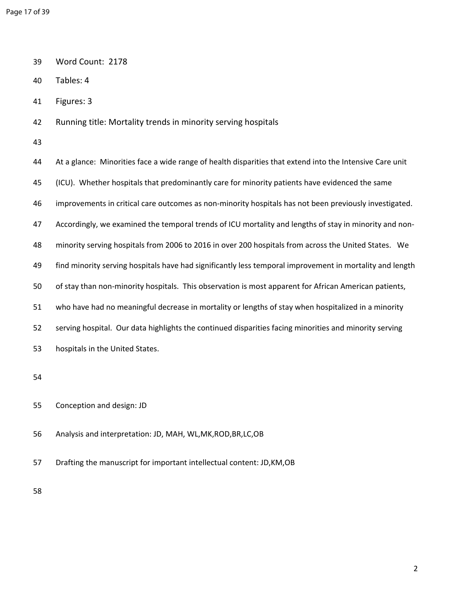- 39 Word Count: 2178
- 40 Tables: 4
- 41 Figures: 3
- 42 Running title: Mortality trends in minority serving hospitals
- 43

44 At a glance: Minorities face a wide range of health disparities that extend into the Intensive Care unit 45 (ICU). Whether hospitals that predominantly care for minority patients have evidenced the same 46 improvements in critical care outcomes as non-minority hospitals has not been previously investigated. 47 Accordingly, we examined the temporal trends of ICU mortality and lengths of stay in minority and non-48 minority serving hospitals from 2006 to 2016 in over 200 hospitals from across the United States. We 49 find minority serving hospitals have had significantly less temporal improvement in mortality and length 50 of stay than non-minority hospitals. This observation is most apparent for African American patients, 51 who have had no meaningful decrease in mortality or lengths of stay when hospitalized in a minority 52 serving hospital. Our data highlights the continued disparities facing minorities and minority serving 53 hospitals in the United States. 54

- 55 Conception and design: JD
- 56 Analysis and interpretation: JD, MAH, WL,MK,ROD,BR,LC,OB
- 57 Drafting the manuscript for important intellectual content: JD,KM,OB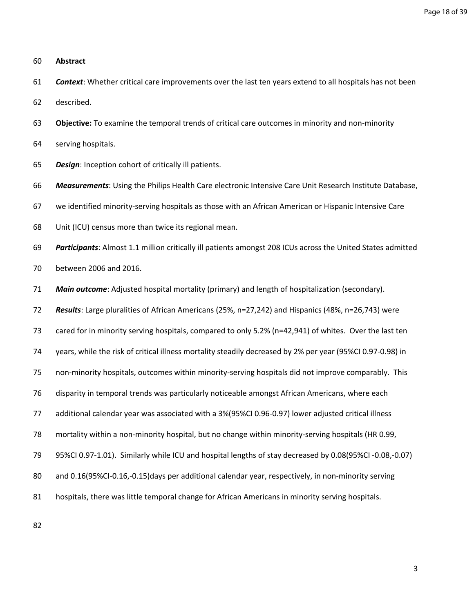## 60 **Abstract**

- 61 *Context*: Whether critical care improvements over the last ten years extend to all hospitals has not been
- 62 described.
- 63 **Objective:** To examine the temporal trends of critical care outcomes in minority and non-minority
- 64 serving hospitals.
- 65 *Design*: Inception cohort of critically ill patients.
- 66 *Measurements*: Using the Philips Health Care electronic Intensive Care Unit Research Institute Database,
- 67 we identified minority-serving hospitals as those with an African American or Hispanic Intensive Care
- 68 Unit (ICU) census more than twice its regional mean.

69 *Participants*: Almost 1.1 million critically ill patients amongst 208 ICUs across the United States admitted

- 70 between 2006 and 2016.
- 71 *Main outcome*: Adjusted hospital mortality (primary) and length of hospitalization (secondary).
- 72 *Results*: Large pluralities of African Americans (25%, n=27,242) and Hispanics (48%, n=26,743) were

73 cared for in minority serving hospitals, compared to only 5.2% (n=42,941) of whites. Over the last ten

- 74 years, while the risk of critical illness mortality steadily decreased by 2% per year (95%CI 0.97-0.98) in
- 75 non-minority hospitals, outcomes within minority-serving hospitals did not improve comparably. This
- 76 disparity in temporal trends was particularly noticeable amongst African Americans, where each
- 77 additional calendar year was associated with a 3%(95%CI 0.96-0.97) lower adjusted critical illness
- 78 mortality within a non-minority hospital, but no change within minority-serving hospitals (HR 0.99,
- 79 95%CI 0.97-1.01). Similarly while ICU and hospital lengths of stay decreased by 0.08(95%CI -0.08,-0.07)
- 80 and 0.16(95%CI-0.16,-0.15)days per additional calendar year, respectively, in non-minority serving
- 81 hospitals, there was little temporal change for African Americans in minority serving hospitals.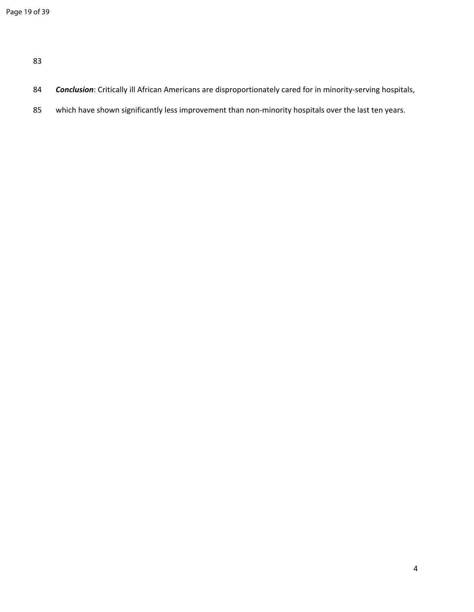- 84 *Conclusion*: Critically ill African Americans are disproportionately cared for in minority-serving hospitals,
- 85 which have shown significantly less improvement than non-minority hospitals over the last ten years.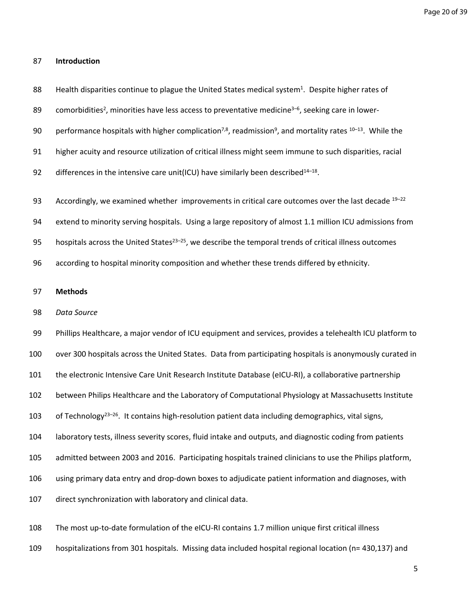## 87 **Introduction**

- 88 Health disparities continue to plague the United States medical system<sup>1</sup>. Despite higher rates of
- 89 comorbidities<sup>2</sup>, minorities have less access to preventative medicine<sup>3-6</sup>, seeking care in lower-
- 90 performance hospitals with higher complication<sup>7,8</sup>, readmission<sup>9</sup>, and mortality rates <sup>10–13</sup>. While the
- 91 higher acuity and resource utilization of critical illness might seem immune to such disparities, racial
- 92 differences in the intensive care unit(ICU) have similarly been described<sup>14-18</sup>.

93 Accordingly, we examined whether improvements in critical care outcomes over the last decade  $19-22$ 

- 94 extend to minority serving hospitals. Using a large repository of almost 1.1 million ICU admissions from
- 95 hospitals across the United States<sup>23–25</sup>, we describe the temporal trends of critical illness outcomes
- 96 according to hospital minority composition and whether these trends differed by ethnicity.

## 97 **Methods**

98 *Data Source*

99 Phillips Healthcare, a major vendor of ICU equipment and services, provides a telehealth ICU platform to 100 over 300 hospitals across the United States. Data from participating hospitals is anonymously curated in 101 the electronic Intensive Care Unit Research Institute Database (eICU-RI), a collaborative partnership 102 between Philips Healthcare and the Laboratory of Computational Physiology at Massachusetts Institute 103 of Technology<sup>23–26</sup>. It contains high-resolution patient data including demographics, vital signs, 104 laboratory tests, illness severity scores, fluid intake and outputs, and diagnostic coding from patients 105 admitted between 2003 and 2016. Participating hospitals trained clinicians to use the Philips platform, 106 using primary data entry and drop-down boxes to adjudicate patient information and diagnoses, with 107 direct synchronization with laboratory and clinical data.

108 The most up-to-date formulation of the eICU-RI contains 1.7 million unique first critical illness

109 hospitalizations from 301 hospitals. Missing data included hospital regional location (n= 430,137) and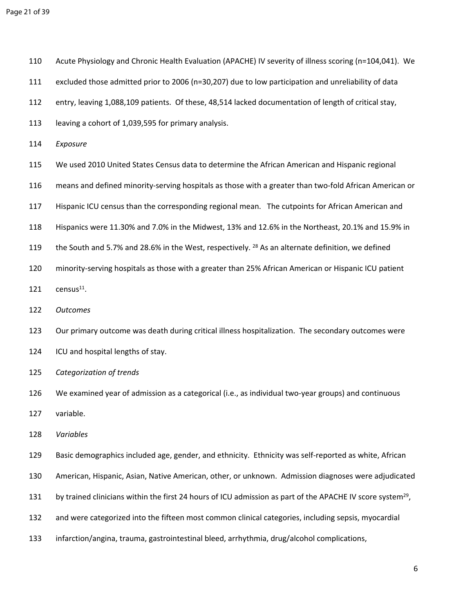| 110 | Acute Physiology and Chronic Health Evaluation (APACHE) IV severity of illness scoring (n=104,041). We |  |
|-----|--------------------------------------------------------------------------------------------------------|--|
|     |                                                                                                        |  |

- 111 excluded those admitted prior to 2006 (n=30,207) due to low participation and unreliability of data
- 112 entry, leaving 1,088,109 patients. Of these, 48,514 lacked documentation of length of critical stay,
- 113 leaving a cohort of 1,039,595 for primary analysis.
- 114 *Exposure*
- 115 We used 2010 United States Census data to determine the African American and Hispanic regional
- 116 means and defined minority-serving hospitals as those with a greater than two-fold African American or
- 117 Hispanic ICU census than the corresponding regional mean. The cutpoints for African American and
- 118 Hispanics were 11.30% and 7.0% in the Midwest, 13% and 12.6% in the Northeast, 20.1% and 15.9% in
- 119 the South and 5.7% and 28.6% in the West, respectively. <sup>28</sup> As an alternate definition, we defined
- 120 minority-serving hospitals as those with a greater than 25% African American or Hispanic ICU patient  $121$  census<sup>11</sup>.
- 
- 122 *Outcomes*
- 123 Our primary outcome was death during critical illness hospitalization. The secondary outcomes were
- 124 ICU and hospital lengths of stay.
- 125 *Categorization of trends*
- 126 We examined year of admission as a categorical (i.e., as individual two-year groups) and continuous 127 variable.
- 128 *Variables*
- 129 Basic demographics included age, gender, and ethnicity. Ethnicity was self-reported as white, African
- 130 American, Hispanic, Asian, Native American, other, or unknown. Admission diagnoses were adjudicated
- 131 by trained clinicians within the first 24 hours of ICU admission as part of the APACHE IV score system<sup>29</sup>,
- 132 and were categorized into the fifteen most common clinical categories, including sepsis, myocardial
- 133 infarction/angina, trauma, gastrointestinal bleed, arrhythmia, drug/alcohol complications,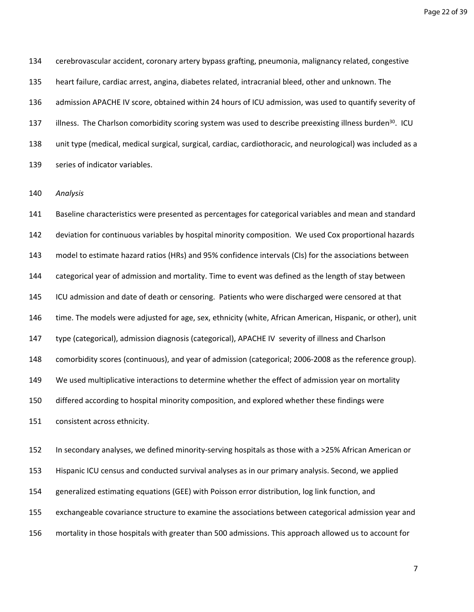Page 22 of 39

134 cerebrovascular accident, coronary artery bypass grafting, pneumonia, malignancy related, congestive 135 heart failure, cardiac arrest, angina, diabetes related, intracranial bleed, other and unknown. The 136 admission APACHE IV score, obtained within 24 hours of ICU admission, was used to quantify severity of 137 illness. The Charlson comorbidity scoring system was used to describe preexisting illness burden<sup>30</sup>. ICU 138 unit type (medical, medical surgical, surgical, cardiac, cardiothoracic, and neurological) was included as a 139 series of indicator variables.

140 *Analysis*

141 Baseline characteristics were presented as percentages for categorical variables and mean and standard 142 deviation for continuous variables by hospital minority composition. We used Cox proportional hazards 143 model to estimate hazard ratios (HRs) and 95% confidence intervals (CIs) for the associations between 144 categorical year of admission and mortality. Time to event was defined as the length of stay between 145 ICU admission and date of death or censoring. Patients who were discharged were censored at that 146 time. The models were adjusted for age, sex, ethnicity (white, African American, Hispanic, or other), unit 147 type (categorical), admission diagnosis (categorical), APACHE IV severity of illness and Charlson 148 comorbidity scores (continuous), and year of admission (categorical; 2006-2008 as the reference group). 149 We used multiplicative interactions to determine whether the effect of admission year on mortality 150 differed according to hospital minority composition, and explored whether these findings were 151 consistent across ethnicity.

152 In secondary analyses, we defined minority-serving hospitals as those with a >25% African American or 153 Hispanic ICU census and conducted survival analyses as in our primary analysis. Second, we applied 154 generalized estimating equations (GEE) with Poisson error distribution, log link function, and 155 exchangeable covariance structure to examine the associations between categorical admission year and 156 mortality in those hospitals with greater than 500 admissions. This approach allowed us to account for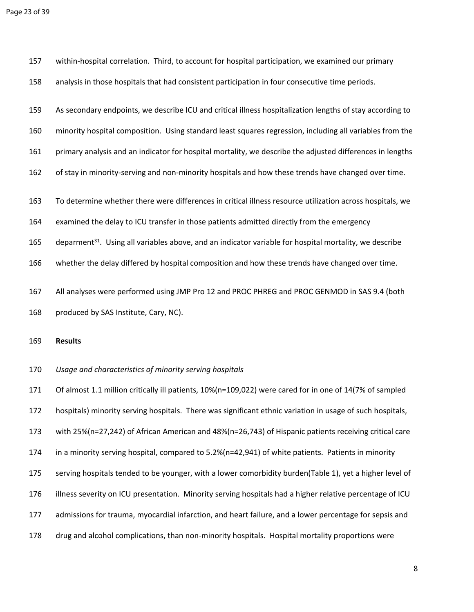| 157 | within-hospital correlation. Third, to account for hospital participation, we examined our primary                 |
|-----|--------------------------------------------------------------------------------------------------------------------|
| 158 | analysis in those hospitals that had consistent participation in four consecutive time periods.                    |
| 159 | As secondary endpoints, we describe ICU and critical illness hospitalization lengths of stay according to          |
| 160 | minority hospital composition. Using standard least squares regression, including all variables from the           |
| 161 | primary analysis and an indicator for hospital mortality, we describe the adjusted differences in lengths          |
| 162 | of stay in minority-serving and non-minority hospitals and how these trends have changed over time.                |
| 163 | To determine whether there were differences in critical illness resource utilization across hospitals, we          |
| 164 | examined the delay to ICU transfer in those patients admitted directly from the emergency                          |
| 165 | deparment <sup>31</sup> . Using all variables above, and an indicator variable for hospital mortality, we describe |
| 166 | whether the delay differed by hospital composition and how these trends have changed over time.                    |
| 167 | All analyses were performed using JMP Pro 12 and PROC PHREG and PROC GENMOD in SAS 9.4 (both                       |
| 168 | produced by SAS Institute, Cary, NC).                                                                              |
| 169 | <b>Results</b>                                                                                                     |
| 170 | Usage and characteristics of minority serving hospitals                                                            |
| 171 | Of almost 1.1 million critically ill patients, 10%(n=109,022) were cared for in one of 14(7% of sampled            |
| 172 | hospitals) minority serving hospitals. There was significant ethnic variation in usage of such hospitals,          |
| 173 | with 25%(n=27,242) of African American and 48%(n=26,743) of Hispanic patients receiving critical care              |
| 174 | in a minority serving hospital, compared to 5.2%(n=42,941) of white patients. Patients in minority                 |
| 175 | serving hospitals tended to be younger, with a lower comorbidity burden(Table 1), yet a higher level of            |
| 176 | illness severity on ICU presentation. Minority serving hospitals had a higher relative percentage of ICU           |

177 admissions for trauma, myocardial infarction, and heart failure, and a lower percentage for sepsis and

178 drug and alcohol complications, than non-minority hospitals. Hospital mortality proportions were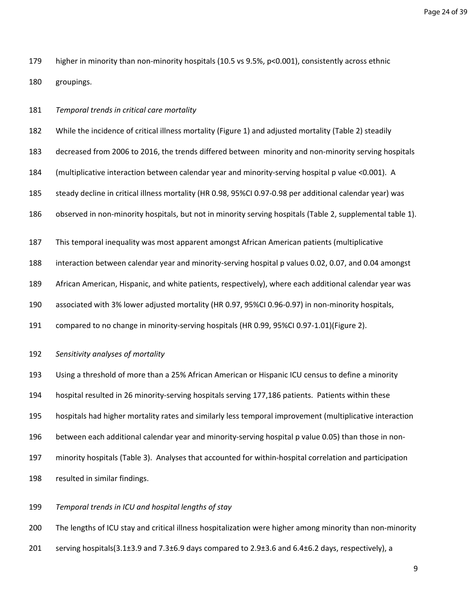Page 24 of 39

179 higher in minority than non-minority hospitals (10.5 vs 9.5%, p<0.001), consistently across ethnic 180 groupings.

181 *Temporal trends in critical care mortality*

182 While the incidence of critical illness mortality (Figure 1) and adjusted mortality (Table 2) steadily

183 decreased from 2006 to 2016, the trends differed between minority and non-minority serving hospitals

184 (multiplicative interaction between calendar year and minority-serving hospital p value <0.001). A

185 steady decline in critical illness mortality (HR 0.98, 95%CI 0.97-0.98 per additional calendar year) was

186 observed in non-minority hospitals, but not in minority serving hospitals (Table 2, supplemental table 1).

187 This temporal inequality was most apparent amongst African American patients (multiplicative

188 interaction between calendar year and minority-serving hospital p values 0.02, 0.07, and 0.04 amongst

189 African American, Hispanic, and white patients, respectively), where each additional calendar year was

190 associated with 3% lower adjusted mortality (HR 0.97, 95%CI 0.96-0.97) in non-minority hospitals,

- 191 compared to no change in minority-serving hospitals (HR 0.99, 95%CI 0.97-1.01)(Figure 2).
- 192 *Sensitivity analyses of mortality*

193 Using a threshold of more than a 25% African American or Hispanic ICU census to define a minority

194 hospital resulted in 26 minority-serving hospitals serving 177,186 patients. Patients within these

195 hospitals had higher mortality rates and similarly less temporal improvement (multiplicative interaction

196 between each additional calendar year and minority-serving hospital p value 0.05) than those in non-

197 minority hospitals (Table 3). Analyses that accounted for within-hospital correlation and participation

198 resulted in similar findings.

199 *Temporal trends in ICU and hospital lengths of stay* 

200 The lengths of ICU stay and critical illness hospitalization were higher among minority than non-minority

201 serving hospitals(3.1±3.9 and 7.3±6.9 days compared to 2.9±3.6 and 6.4±6.2 days, respectively), a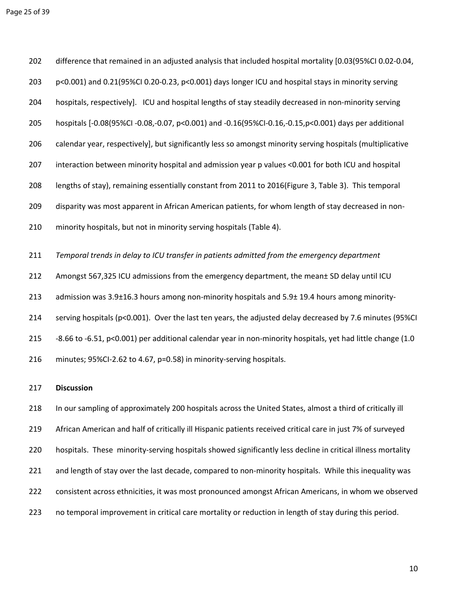202 difference that remained in an adjusted analysis that included hospital mortality [0.03(95%CI 0.02-0.04, 203 p<0.001) and 0.21(95%CI 0.20-0.23, p<0.001) days longer ICU and hospital stays in minority serving 204 hospitals, respectively]. ICU and hospital lengths of stay steadily decreased in non-minority serving 205 hospitals [-0.08(95%CI -0.08,-0.07, p<0.001) and -0.16(95%CI-0.16,-0.15,p<0.001) days per additional 206 calendar year, respectively], but significantly less so amongst minority serving hospitals (multiplicative 207 interaction between minority hospital and admission year p values <0.001 for both ICU and hospital 208 lengths of stay), remaining essentially constant from 2011 to 2016(Figure 3, Table 3). This temporal 209 disparity was most apparent in African American patients, for whom length of stay decreased in non-210 minority hospitals, but not in minority serving hospitals (Table 4). 211 *Temporal trends in delay to ICU transfer in patients admitted from the emergency department* 212 Amongst 567,325 ICU admissions from the emergency department, the mean± SD delay until ICU 213 admission was 3.9±16.3 hours among non-minority hospitals and 5.9± 19.4 hours among minority-

214 serving hospitals (p<0.001). Over the last ten years, the adjusted delay decreased by 7.6 minutes (95%CI 215 -8.66 to -6.51, p<0.001) per additional calendar year in non-minority hospitals, yet had little change (1.0 216 minutes; 95%CI-2.62 to 4.67, p=0.58) in minority-serving hospitals.

## 217 **Discussion**

218 In our sampling of approximately 200 hospitals across the United States, almost a third of critically ill 219 African American and half of critically ill Hispanic patients received critical care in just 7% of surveyed 220 hospitals. These minority-serving hospitals showed significantly less decline in critical illness mortality 221 and length of stay over the last decade, compared to non-minority hospitals. While this inequality was 222 consistent across ethnicities, it was most pronounced amongst African Americans, in whom we observed 223 no temporal improvement in critical care mortality or reduction in length of stay during this period.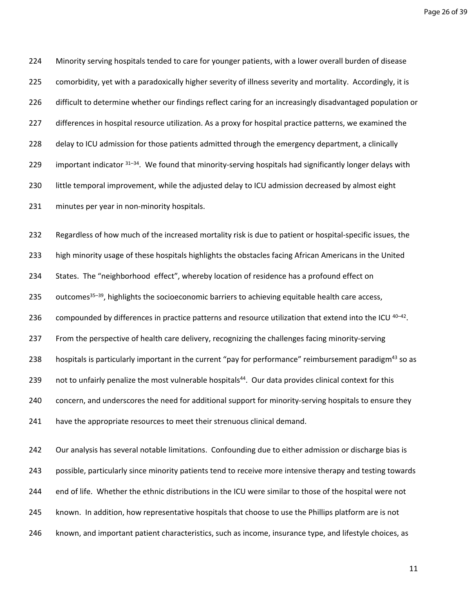Page 26 of 39

224 Minority serving hospitals tended to care for younger patients, with a lower overall burden of disease 225 comorbidity, yet with a paradoxically higher severity of illness severity and mortality. Accordingly, it is 226 difficult to determine whether our findings reflect caring for an increasingly disadvantaged population or 227 differences in hospital resource utilization. As a proxy for hospital practice patterns, we examined the 228 delay to ICU admission for those patients admitted through the emergency department, a clinically 229 important indicator  $31-34$ . We found that minority-serving hospitals had significantly longer delays with 230 little temporal improvement, while the adjusted delay to ICU admission decreased by almost eight 231 minutes per year in non-minority hospitals.

232 Regardless of how much of the increased mortality risk is due to patient or hospital-specific issues, the 233 high minority usage of these hospitals highlights the obstacles facing African Americans in the United 234 States. The "neighborhood effect", whereby location of residence has a profound effect on 235 outcomes<sup>35–39</sup>, highlights the socioeconomic barriers to achieving equitable health care access, 236 compounded by differences in practice patterns and resource utilization that extend into the ICU  $40-42$ . 237 From the perspective of health care delivery, recognizing the challenges facing minority-serving 238 hospitals is particularly important in the current "pay for performance" reimbursement paradigm<sup>43</sup> so as 239 not to unfairly penalize the most vulnerable hospitals<sup>44</sup>. Our data provides clinical context for this 240 concern, and underscores the need for additional support for minority-serving hospitals to ensure they 241 have the appropriate resources to meet their strenuous clinical demand.

242 Our analysis has several notable limitations. Confounding due to either admission or discharge bias is 243 possible, particularly since minority patients tend to receive more intensive therapy and testing towards 244 end of life. Whether the ethnic distributions in the ICU were similar to those of the hospital were not 245 known. In addition, how representative hospitals that choose to use the Phillips platform are is not 246 known, and important patient characteristics, such as income, insurance type, and lifestyle choices, as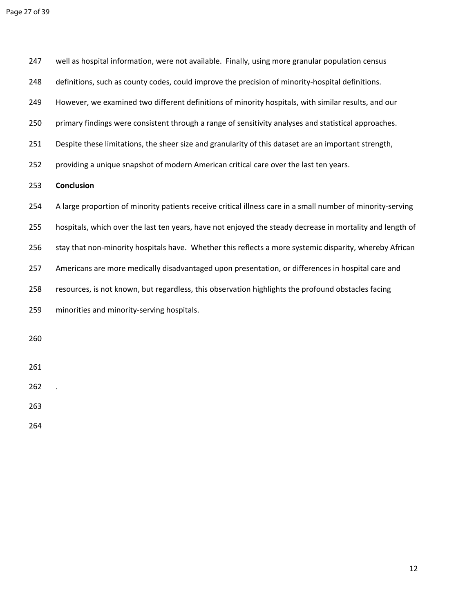247 well as hospital information, were not available. Finally, using more granular population census 248 definitions, such as county codes, could improve the precision of minority-hospital definitions. 249 However, we examined two different definitions of minority hospitals, with similar results, and our 250 primary findings were consistent through a range of sensitivity analyses and statistical approaches. 251 Despite these limitations, the sheer size and granularity of this dataset are an important strength, 252 providing a unique snapshot of modern American critical care over the last ten years. 253 **Conclusion** 254 A large proportion of minority patients receive critical illness care in a small number of minority-serving 255 hospitals, which over the last ten years, have not enjoyed the steady decrease in mortality and length of 256 stay that non-minority hospitals have. Whether this reflects a more systemic disparity, whereby African 257 Americans are more medically disadvantaged upon presentation, or differences in hospital care and 258 resources, is not known, but regardless, this observation highlights the profound obstacles facing 259 minorities and minority-serving hospitals. 260 261 262 . 263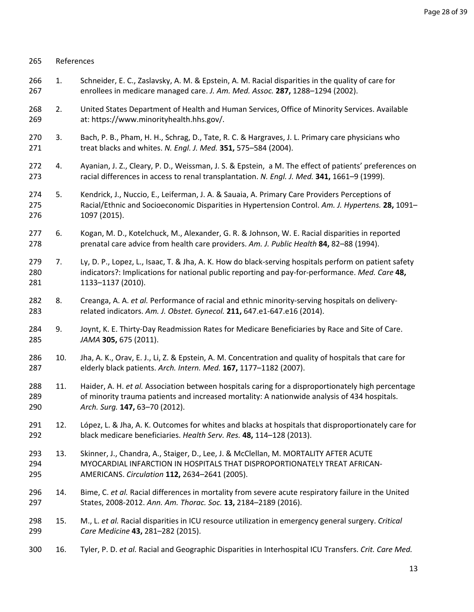| 265               | References |                                                                                                                                                                                                                                      |
|-------------------|------------|--------------------------------------------------------------------------------------------------------------------------------------------------------------------------------------------------------------------------------------|
| 266<br>267        | 1.         | Schneider, E. C., Zaslavsky, A. M. & Epstein, A. M. Racial disparities in the quality of care for<br>enrollees in medicare managed care. J. Am. Med. Assoc. 287, 1288-1294 (2002).                                                   |
| 268<br>269        | 2.         | United States Department of Health and Human Services, Office of Minority Services. Available<br>at: https://www.minorityhealth.hhs.gov/.                                                                                            |
| 270<br>271        | 3.         | Bach, P. B., Pham, H. H., Schrag, D., Tate, R. C. & Hargraves, J. L. Primary care physicians who<br>treat blacks and whites. N. Engl. J. Med. 351, 575-584 (2004).                                                                   |
| 272<br>273        | 4.         | Ayanian, J. Z., Cleary, P. D., Weissman, J. S. & Epstein, a M. The effect of patients' preferences on<br>racial differences in access to renal transplantation. N. Engl. J. Med. 341, 1661-9 (1999).                                 |
| 274<br>275<br>276 | 5.         | Kendrick, J., Nuccio, E., Leiferman, J. A. & Sauaia, A. Primary Care Providers Perceptions of<br>Racial/Ethnic and Socioeconomic Disparities in Hypertension Control. Am. J. Hypertens. 28, 1091-<br>1097 (2015).                    |
| 277<br>278        | 6.         | Kogan, M. D., Kotelchuck, M., Alexander, G. R. & Johnson, W. E. Racial disparities in reported<br>prenatal care advice from health care providers. Am. J. Public Health 84, 82-88 (1994).                                            |
| 279<br>280<br>281 | 7.         | Ly, D. P., Lopez, L., Isaac, T. & Jha, A. K. How do black-serving hospitals perform on patient safety<br>indicators?: Implications for national public reporting and pay-for-performance. Med. Care 48,<br>1133-1137 (2010).         |
| 282<br>283        | 8.         | Creanga, A. A. et al. Performance of racial and ethnic minority-serving hospitals on delivery-<br>related indicators. Am. J. Obstet. Gynecol. 211, 647.e1-647.e16 (2014).                                                            |
| 284<br>285        | 9.         | Joynt, K. E. Thirty-Day Readmission Rates for Medicare Beneficiaries by Race and Site of Care.<br>JAMA 305, 675 (2011).                                                                                                              |
| 286<br>287        | 10.        | Jha, A. K., Orav, E. J., Li, Z. & Epstein, A. M. Concentration and quality of hospitals that care for<br>elderly black patients. Arch. Intern. Med. 167, 1177-1182 (2007).                                                           |
| 288<br>289<br>290 | 11.        | Haider, A. H. et al. Association between hospitals caring for a disproportionately high percentage<br>of minority trauma patients and increased mortality: A nationwide analysis of 434 hospitals.<br>Arch. Surg. 147, 63-70 (2012). |
| 291<br>292        | 12.        | López, L. & Jha, A. K. Outcomes for whites and blacks at hospitals that disproportionately care for<br>black medicare beneficiaries. Health Serv. Res. 48, 114-128 (2013).                                                           |
| 293<br>294<br>295 | 13.        | Skinner, J., Chandra, A., Staiger, D., Lee, J. & McClellan, M. MORTALITY AFTER ACUTE<br>MYOCARDIAL INFARCTION IN HOSPITALS THAT DISPROPORTIONATELY TREAT AFRICAN-<br>AMERICANS. Circulation 112, 2634-2641 (2005).                   |
| 296<br>297        | 14.        | Bime, C. et al. Racial differences in mortality from severe acute respiratory failure in the United<br>States, 2008-2012. Ann. Am. Thorac. Soc. 13, 2184-2189 (2016).                                                                |
| 298<br>299        | 15.        | M., L. et al. Racial disparities in ICU resource utilization in emergency general surgery. Critical<br>Care Medicine 43, 281-282 (2015).                                                                                             |
| 300               | 16.        | Tyler, P. D. et al. Racial and Geographic Disparities in Interhospital ICU Transfers. Crit. Care Med.                                                                                                                                |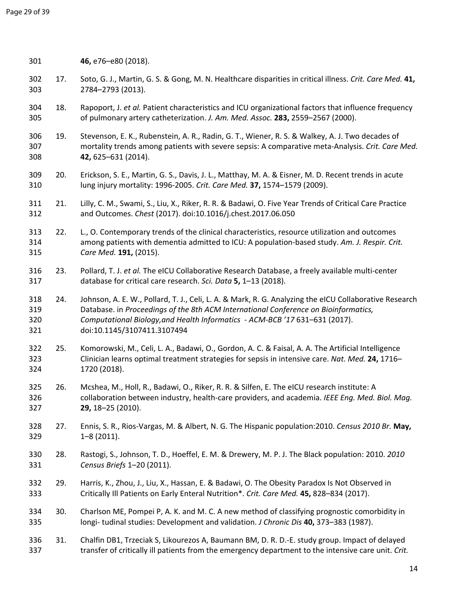301 **46,** e76–e80 (2018).

| 302<br>303               | 17. | Soto, G. J., Martin, G. S. & Gong, M. N. Healthcare disparities in critical illness. Crit. Care Med. 41,<br>2784-2793 (2013).                                                                                                                                                                               |
|--------------------------|-----|-------------------------------------------------------------------------------------------------------------------------------------------------------------------------------------------------------------------------------------------------------------------------------------------------------------|
| 304<br>305               | 18. | Rapoport, J. et al. Patient characteristics and ICU organizational factors that influence frequency<br>of pulmonary artery catheterization. J. Am. Med. Assoc. 283, 2559-2567 (2000).                                                                                                                       |
| 306<br>307<br>308        | 19. | Stevenson, E. K., Rubenstein, A. R., Radin, G. T., Wiener, R. S. & Walkey, A. J. Two decades of<br>mortality trends among patients with severe sepsis: A comparative meta-Analysis. Crit. Care Med.<br>42, 625-631 (2014).                                                                                  |
| 309<br>310               | 20. | Erickson, S. E., Martin, G. S., Davis, J. L., Matthay, M. A. & Eisner, M. D. Recent trends in acute<br>lung injury mortality: 1996-2005. Crit. Care Med. 37, 1574-1579 (2009).                                                                                                                              |
| 311<br>312               | 21. | Lilly, C. M., Swami, S., Liu, X., Riker, R. R. & Badawi, O. Five Year Trends of Critical Care Practice<br>and Outcomes. Chest (2017). doi:10.1016/j.chest.2017.06.050                                                                                                                                       |
| 313<br>314<br>315        | 22. | L., O. Contemporary trends of the clinical characteristics, resource utilization and outcomes<br>among patients with dementia admitted to ICU: A population-based study. Am. J. Respir. Crit.<br>Care Med. 191, (2015).                                                                                     |
| 316<br>317               | 23. | Pollard, T. J. et al. The eICU Collaborative Research Database, a freely available multi-center<br>database for critical care research. Sci. Data 5, 1-13 (2018).                                                                                                                                           |
| 318<br>319<br>320<br>321 | 24. | Johnson, A. E. W., Pollard, T. J., Celi, L. A. & Mark, R. G. Analyzing the eICU Collaborative Research<br>Database. in Proceedings of the 8th ACM International Conference on Bioinformatics,<br>Computational Biology, and Health Informatics - ACM-BCB '17 631-631 (2017).<br>doi:10.1145/3107411.3107494 |
| 322<br>323<br>324        | 25. | Komorowski, M., Celi, L. A., Badawi, O., Gordon, A. C. & Faisal, A. A. The Artificial Intelligence<br>Clinician learns optimal treatment strategies for sepsis in intensive care. Nat. Med. 24, 1716-<br>1720 (2018).                                                                                       |
| 325<br>326<br>327        | 26. | Mcshea, M., Holl, R., Badawi, O., Riker, R. R. & Silfen, E. The eICU research institute: A<br>collaboration between industry, health-care providers, and academia. IEEE Eng. Med. Biol. Mag.<br>29, 18-25 (2010).                                                                                           |
| 328<br>329               | 27. | Ennis, S. R., Rios-Vargas, M. & Albert, N. G. The Hispanic population:2010. Census 2010 Br. May,<br>$1 - 8(2011)$ .                                                                                                                                                                                         |
| 330<br>331               | 28. | Rastogi, S., Johnson, T. D., Hoeffel, E. M. & Drewery, M. P. J. The Black population: 2010. 2010<br>Census Briefs 1-20 (2011).                                                                                                                                                                              |
| 332<br>333               | 29. | Harris, K., Zhou, J., Liu, X., Hassan, E. & Badawi, O. The Obesity Paradox Is Not Observed in<br>Critically III Patients on Early Enteral Nutrition*. Crit. Care Med. 45, 828-834 (2017).                                                                                                                   |
| 334<br>335               | 30. | Charlson ME, Pompei P, A. K. and M. C. A new method of classifying prognostic comorbidity in<br>longi-tudinal studies: Development and validation. J Chronic Dis 40, 373-383 (1987).                                                                                                                        |
| 336<br>337               | 31. | Chalfin DB1, Trzeciak S, Likourezos A, Baumann BM, D. R. D.-E. study group. Impact of delayed<br>transfer of critically ill patients from the emergency department to the intensive care unit. Crit.                                                                                                        |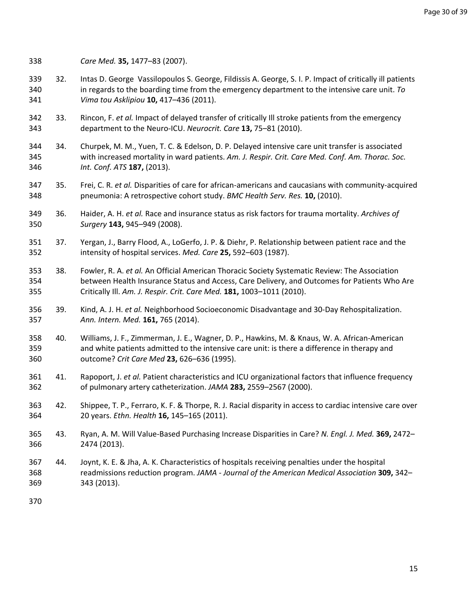338 *Care Med.* **35,** 1477–83 (2007).

- 339 32. Intas D. George Vassilopoulos S. George, Fildissis A. George, S. I. P. Impact of critically ill patients 340 in regards to the boarding time from the emergency department to the intensive care unit. *To*  341 *Vima tou Asklipiou* **10,** 417–436 (2011).
- 342 33. Rincon, F. *et al.* Impact of delayed transfer of critically Ill stroke patients from the emergency 343 department to the Neuro-ICU. *Neurocrit. Care* **13,** 75–81 (2010).
- 344 34. Churpek, M. M., Yuen, T. C. & Edelson, D. P. Delayed intensive care unit transfer is associated 345 with increased mortality in ward patients. *Am. J. Respir. Crit. Care Med. Conf. Am. Thorac. Soc.*  346 *Int. Conf. ATS* **187,** (2013).
- 347 35. Frei, C. R. *et al.* Disparities of care for african-americans and caucasians with community-acquired 348 pneumonia: A retrospective cohort study. *BMC Health Serv. Res.* **10,** (2010).
- 349 36. Haider, A. H. *et al.* Race and insurance status as risk factors for trauma mortality. *Archives of*  350 *Surgery* **143,** 945–949 (2008).
- 351 37. Yergan, J., Barry Flood, A., LoGerfo, J. P. & Diehr, P. Relationship between patient race and the 352 intensity of hospital services. *Med. Care* **25,** 592–603 (1987).
- 353 38. Fowler, R. A. *et al.* An Official American Thoracic Society Systematic Review: The Association 354 between Health Insurance Status and Access, Care Delivery, and Outcomes for Patients Who Are 355 Critically Ill. *Am. J. Respir. Crit. Care Med.* **181,** 1003–1011 (2010).
- 356 39. Kind, A. J. H. *et al.* Neighborhood Socioeconomic Disadvantage and 30-Day Rehospitalization. 357 *Ann. Intern. Med.* **161,** 765 (2014).
- 358 40. Williams, J. F., Zimmerman, J. E., Wagner, D. P., Hawkins, M. & Knaus, W. A. African-American 359 and white patients admitted to the intensive care unit: is there a difference in therapy and 360 outcome? *Crit Care Med* **23,** 626–636 (1995).
- 361 41. Rapoport, J. *et al.* Patient characteristics and ICU organizational factors that influence frequency 362 of pulmonary artery catheterization. *JAMA* **283,** 2559–2567 (2000).
- 363 42. Shippee, T. P., Ferraro, K. F. & Thorpe, R. J. Racial disparity in access to cardiac intensive care over 364 20 years. *Ethn. Health* **16,** 145–165 (2011).
- 365 43. Ryan, A. M. Will Value-Based Purchasing Increase Disparities in Care? *N. Engl. J. Med.* **369,** 2472– 366 2474 (2013).
- 367 44. Joynt, K. E. & Jha, A. K. Characteristics of hospitals receiving penalties under the hospital 368 readmissions reduction program. *JAMA - Journal of the American Medical Association* **309,** 342– 369 343 (2013).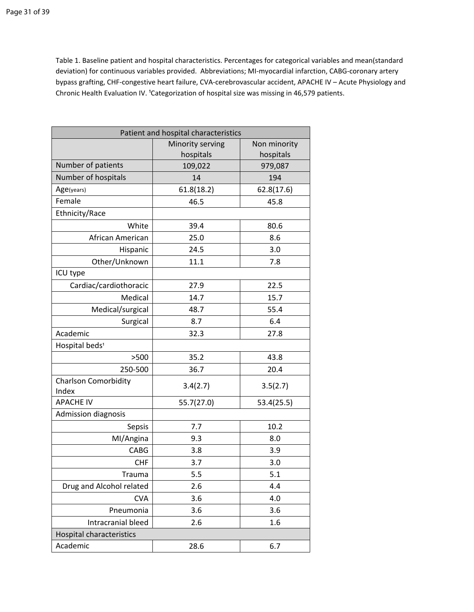Table 1. Baseline patient and hospital characteristics. Percentages for categorical variables and mean(standard deviation) for continuous variables provided. Abbreviations; MI-myocardial infarction, CABG-coronary artery bypass grafting, CHF-congestive heart failure, CVA-cerebrovascular accident, APACHE IV – Acute Physiology and Chronic Health Evaluation IV. <sup>1</sup>Categorization of hospital size was missing in 46,579 patients.

| Patient and hospital characteristics |                  |              |  |  |
|--------------------------------------|------------------|--------------|--|--|
|                                      | Minority serving | Non minority |  |  |
|                                      | hospitals        | hospitals    |  |  |
| Number of patients                   | 109,022          | 979,087      |  |  |
| Number of hospitals                  | 14               | 194          |  |  |
| Age(years)                           | 61.8(18.2)       | 62.8(17.6)   |  |  |
| Female                               | 46.5             | 45.8         |  |  |
| Ethnicity/Race                       |                  |              |  |  |
| White                                | 39.4             | 80.6         |  |  |
| African American                     | 25.0             | 8.6          |  |  |
| Hispanic                             | 24.5             | 3.0          |  |  |
| Other/Unknown                        | 11.1             | 7.8          |  |  |
| ICU type                             |                  |              |  |  |
| Cardiac/cardiothoracic               | 27.9             | 22.5         |  |  |
| Medical                              | 14.7             | 15.7         |  |  |
| Medical/surgical                     | 48.7             | 55.4         |  |  |
| Surgical                             | 8.7              | 6.4          |  |  |
| Academic                             | 32.3             | 27.8         |  |  |
| Hospital beds <sup>1</sup>           |                  |              |  |  |
| >500                                 | 35.2             | 43.8         |  |  |
| 250-500                              | 36.7             | 20.4         |  |  |
| <b>Charlson Comorbidity</b><br>Index | 3.4(2.7)         | 3.5(2.7)     |  |  |
| <b>APACHE IV</b>                     | 55.7(27.0)       | 53.4(25.5)   |  |  |
| <b>Admission diagnosis</b>           |                  |              |  |  |
| Sepsis                               | 7.7              | 10.2         |  |  |
| MI/Angina                            | 9.3              | 8.0          |  |  |
| CABG                                 | 3.8              | 3.9          |  |  |
| <b>CHF</b>                           | 3.7              | 3.0          |  |  |
| Trauma                               | 5.5              | 5.1          |  |  |
| Drug and Alcohol related             | 2.6              | 4.4          |  |  |
| <b>CVA</b>                           | 3.6              | 4.0          |  |  |
| Pneumonia                            | 3.6              | 3.6          |  |  |
| Intracranial bleed                   | 2.6              | 1.6          |  |  |
| Hospital characteristics             |                  |              |  |  |
| Academic                             | 28.6             | 6.7          |  |  |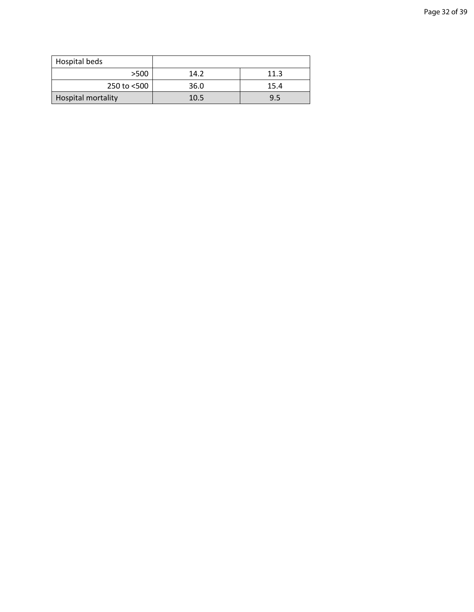| Hospital beds             |      |      |
|---------------------------|------|------|
| >500                      | 14.2 | 11.3 |
| 250 to $<$ 500            | 36.0 | 15.4 |
| <b>Hospital mortality</b> | 10.5 | 9.5  |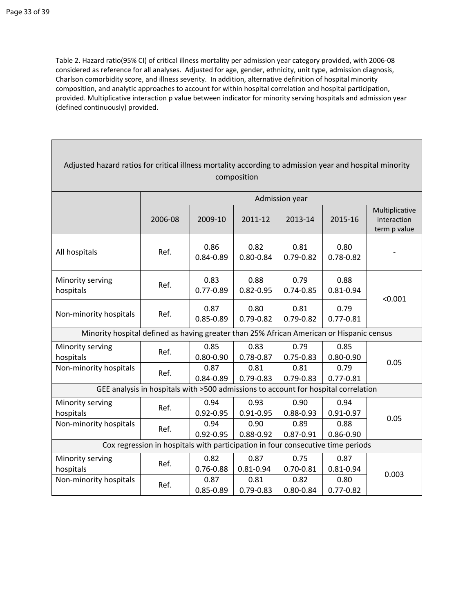Table 2. Hazard ratio(95% CI) of critical illness mortality per admission year category provided, with 2006-08 considered as reference for all analyses. Adjusted for age, gender, ethnicity, unit type, admission diagnosis, Charlson comorbidity score, and illness severity. In addition, alternative definition of hospital minority composition, and analytic approaches to account for within hospital correlation and hospital participation, provided. Multiplicative interaction p value between indicator for minority serving hospitals and admission year (defined continuously) provided.

| Adjusted hazard ratios for critical illness mortality according to admission year and hospital minority<br>composition |                                                                                          |                       |                       |                       |                       |                                               |  |
|------------------------------------------------------------------------------------------------------------------------|------------------------------------------------------------------------------------------|-----------------------|-----------------------|-----------------------|-----------------------|-----------------------------------------------|--|
|                                                                                                                        |                                                                                          |                       |                       | Admission year        |                       |                                               |  |
|                                                                                                                        | 2006-08                                                                                  | 2009-10               | 2011-12               | 2013-14               | 2015-16               | Multiplicative<br>interaction<br>term p value |  |
| All hospitals                                                                                                          | Ref.                                                                                     | 0.86<br>0.84-0.89     | 0.82<br>$0.80 - 0.84$ | 0.81<br>$0.79 - 0.82$ | 0.80<br>$0.78 - 0.82$ |                                               |  |
| Minority serving<br>hospitals                                                                                          | Ref.                                                                                     | 0.83<br>$0.77 - 0.89$ | 0.88<br>$0.82 - 0.95$ | 0.79<br>$0.74 - 0.85$ | 0.88<br>$0.81 - 0.94$ | < 0.001                                       |  |
| Non-minority hospitals                                                                                                 | Ref.                                                                                     | 0.87<br>$0.85 - 0.89$ | 0.80<br>$0.79 - 0.82$ | 0.81<br>$0.79 - 0.82$ | 0.79<br>$0.77 - 0.81$ |                                               |  |
|                                                                                                                        | Minority hospital defined as having greater than 25% African American or Hispanic census |                       |                       |                       |                       |                                               |  |
| Minority serving<br>hospitals                                                                                          | Ref.                                                                                     | 0.85<br>$0.80 - 0.90$ | 0.83<br>0.78-0.87     | 0.79<br>$0.75 - 0.83$ | 0.85<br>$0.80 - 0.90$ | 0.05                                          |  |
| Non-minority hospitals                                                                                                 | Ref.                                                                                     | 0.87<br>0.84-0.89     | 0.81<br>$0.79 - 0.83$ | 0.81<br>$0.79 - 0.83$ | 0.79<br>$0.77 - 0.81$ |                                               |  |
|                                                                                                                        | GEE analysis in hospitals with >500 admissions to account for hospital correlation       |                       |                       |                       |                       |                                               |  |
| Minority serving<br>hospitals                                                                                          | Ref.                                                                                     | 0.94<br>$0.92 - 0.95$ | 0.93<br>$0.91 - 0.95$ | 0.90<br>$0.88 - 0.93$ | 0.94<br>$0.91 - 0.97$ | 0.05                                          |  |
| Non-minority hospitals                                                                                                 | Ref.                                                                                     | 0.94<br>$0.92 - 0.95$ | 0.90<br>0.88-0.92     | 0.89<br>$0.87 - 0.91$ | 0.88<br>$0.86 - 0.90$ |                                               |  |
| Cox regression in hospitals with participation in four consecutive time periods                                        |                                                                                          |                       |                       |                       |                       |                                               |  |
| Minority serving<br>hospitals                                                                                          | Ref.                                                                                     | 0.82<br>$0.76 - 0.88$ | 0.87<br>$0.81 - 0.94$ | 0.75<br>$0.70 - 0.81$ | 0.87<br>$0.81 - 0.94$ |                                               |  |
| Non-minority hospitals                                                                                                 | Ref.                                                                                     | 0.87<br>$0.85 - 0.89$ | 0.81<br>0.79-0.83     | 0.82<br>$0.80 - 0.84$ | 0.80<br>$0.77 - 0.82$ | 0.003                                         |  |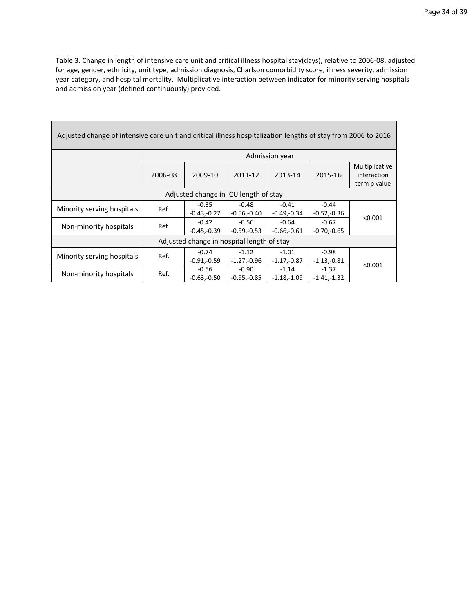Table 3. Change in length of intensive care unit and critical illness hospital stay(days), relative to 2006-08, adjusted for age, gender, ethnicity, unit type, admission diagnosis, Charlson comorbidity score, illness severity, admission year category, and hospital mortality. Multiplicative interaction between indicator for minority serving hospitals and admission year (defined continuously) provided.

| Adjusted change of intensive care unit and critical illness hospitalization lengths of stay from 2006 to 2016 |                |                          |                          |                          |                          |                                               |
|---------------------------------------------------------------------------------------------------------------|----------------|--------------------------|--------------------------|--------------------------|--------------------------|-----------------------------------------------|
|                                                                                                               | Admission year |                          |                          |                          |                          |                                               |
|                                                                                                               | 2006-08        | 2009-10                  | 2011-12                  | 2013-14                  | 2015-16                  | Multiplicative<br>interaction<br>term p value |
| Adjusted change in ICU length of stay                                                                         |                |                          |                          |                          |                          |                                               |
| Minority serving hospitals                                                                                    | Ref.           | $-0.35$<br>$-0.43,-0.27$ | $-0.48$<br>$-0.56,-0.40$ | $-0.41$<br>$-0.49,-0.34$ | $-0.44$<br>$-0.52,-0.36$ |                                               |
| Non-minority hospitals                                                                                        | Ref.           | $-0.42$<br>$-0.45,-0.39$ | $-0.56$<br>$-0.59,-0.53$ | $-0.64$<br>$-0.66,-0.61$ | $-0.67$<br>$-0.70,-0.65$ | < 0.001                                       |
| Adjusted change in hospital length of stay                                                                    |                |                          |                          |                          |                          |                                               |
| Minority serving hospitals                                                                                    | Ref.           | $-0.74$<br>$-0.91,-0.59$ | $-1.12$<br>$-1.27,-0.96$ | $-1.01$<br>$-1.17,-0.87$ | $-0.98$<br>$-1.13,-0.81$ |                                               |
| Non-minority hospitals                                                                                        | Ref.           | $-0.56$<br>$-0.63,-0.50$ | $-0.90$<br>$-0.95,-0.85$ | $-1.14$<br>$-1.18,-1.09$ | $-1.37$<br>$-1.41,-1.32$ | < 0.001                                       |

Г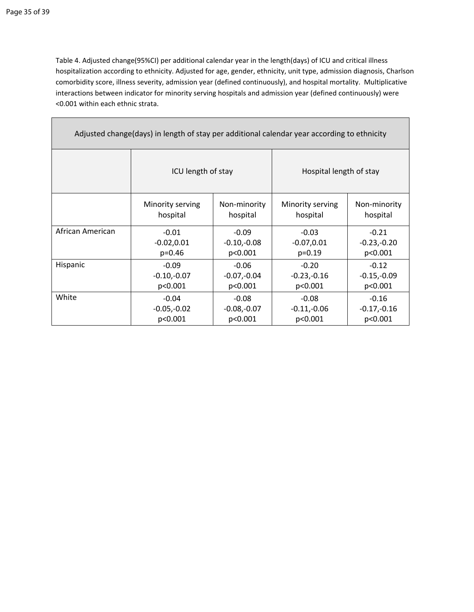Table 4. Adjusted change(95%CI) per additional calendar year in the length(days) of ICU and critical illness hospitalization according to ethnicity. Adjusted for age, gender, ethnicity, unit type, admission diagnosis, Charlson comorbidity score, illness severity, admission year (defined continuously), and hospital mortality. Multiplicative interactions between indicator for minority serving hospitals and admission year (defined continuously) were <0.001 within each ethnic strata.

| Adjusted change (days) in length of stay per additional calendar year according to ethnicity |                                          |                          |                              |                          |  |  |  |
|----------------------------------------------------------------------------------------------|------------------------------------------|--------------------------|------------------------------|--------------------------|--|--|--|
|                                                                                              | ICU length of stay                       |                          | Hospital length of stay      |                          |  |  |  |
|                                                                                              | Minority serving<br>hospital             | Non-minority<br>hospital | Minority serving<br>hospital | Non-minority<br>hospital |  |  |  |
| African American                                                                             | $-0.01$<br>$-0.09$                       |                          | $-0.03$                      | $-0.21$                  |  |  |  |
|                                                                                              | $-0.02, 0.01$<br>$-0.10,-0.08$           |                          | $-0.07, 0.01$                | $-0.23,-0.20$            |  |  |  |
|                                                                                              | $p=0.46$                                 | p<0.001                  | $p=0.19$                     | p<0.001                  |  |  |  |
| Hispanic                                                                                     | $-0.09$<br>$-0.06$                       |                          | $-0.20$                      | $-0.12$                  |  |  |  |
|                                                                                              | $-0.10,-0.07$<br>$-0.07,-0.04$           |                          | $-0.23,-0.16$                | $-0.15,-0.09$            |  |  |  |
| p<0.001<br>p<0.001                                                                           |                                          | p<0.001                  | p<0.001                      |                          |  |  |  |
| White                                                                                        | $-0.08$<br>$-0.04$                       |                          | $-0.08$                      | $-0.16$                  |  |  |  |
|                                                                                              | $-0.05,-0.02$<br>$-0.08,-0.07$           |                          | $-0.11,-0.06$                | $-0.17,-0.16$            |  |  |  |
|                                                                                              | p<0.001<br>p<0.001<br>p<0.001<br>p<0.001 |                          |                              |                          |  |  |  |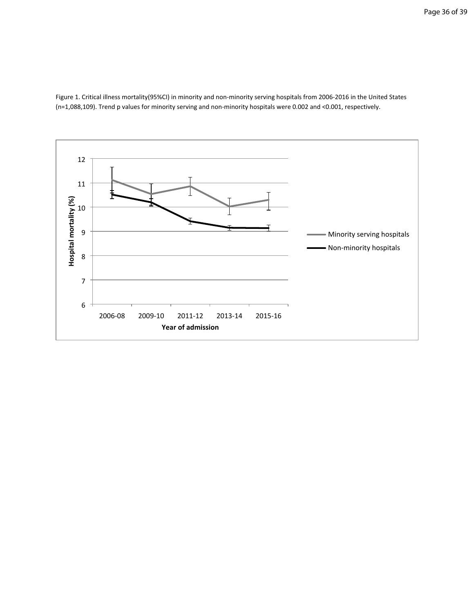Figure 1. Critical illness mortality(95%CI) in minority and non-minority serving hospitals from 2006-2016 in the United States (n=1,088,109). Trend p values for minority serving and non-minority hospitals were 0.002 and <0.001, respectively.

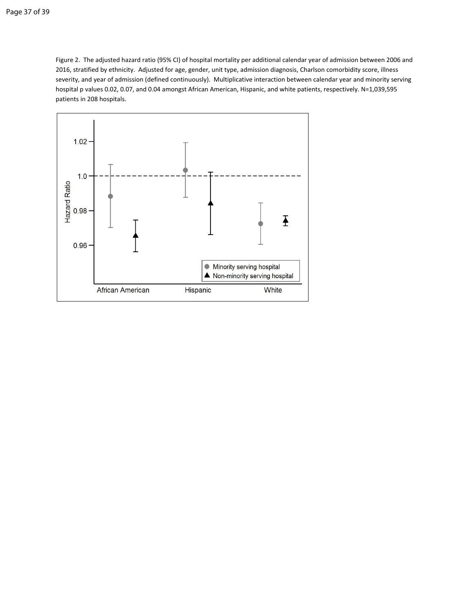Figure 2. The adjusted hazard ratio (95% CI) of hospital mortality per additional calendar year of admission between 2006 and 2016, stratified by ethnicity. Adjusted for age, gender, unit type, admission diagnosis, Charlson comorbidity score, illness severity, and year of admission (defined continuously). Multiplicative interaction between calendar year and minority serving hospital p values 0.02, 0.07, and 0.04 amongst African American, Hispanic, and white patients, respectively. N=1,039,595 patients in 208 hospitals.

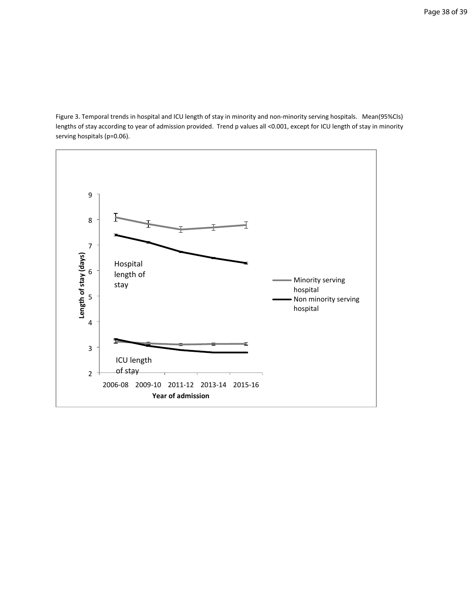Figure 3. Temporal trends in hospital and ICU length of stay in minority and non-minority serving hospitals. Mean(95%CIs) lengths of stay according to year of admission provided. Trend p values all <0.001, except for ICU length of stay in minority serving hospitals (p=0.06).